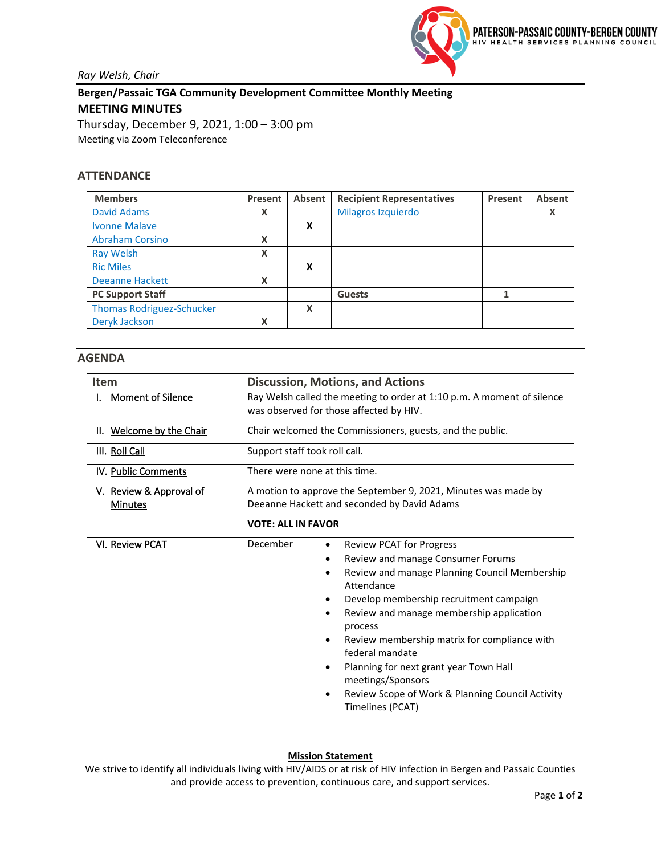

*Ray Welsh, Chair*

**Bergen/Passaic TGA Community Development Committee Monthly Meeting MEETING MINUTES** Thursday, December 9, 2021, 1:00 – 3:00 pm Meeting via Zoom Teleconference

## **ATTENDANCE**

| <b>Members</b>                   | Present | Absent | <b>Recipient Representatives</b> | Present | Absent |
|----------------------------------|---------|--------|----------------------------------|---------|--------|
| <b>David Adams</b>               | Χ       |        | Milagros Izquierdo               |         | Χ      |
| <b>Ivonne Malave</b>             |         | X      |                                  |         |        |
| <b>Abraham Corsino</b>           | X       |        |                                  |         |        |
| <b>Ray Welsh</b>                 | X       |        |                                  |         |        |
| <b>Ric Miles</b>                 |         | X      |                                  |         |        |
| <b>Deeanne Hackett</b>           | X       |        |                                  |         |        |
| <b>PC Support Staff</b>          |         |        | <b>Guests</b>                    | 1       |        |
| <b>Thomas Rodriguez-Schucker</b> |         | x      |                                  |         |        |
| Deryk Jackson                    | X       |        |                                  |         |        |

## **AGENDA**

| <b>Item</b>              | <b>Discussion, Motions, and Actions</b>                                |                                                                                   |  |  |
|--------------------------|------------------------------------------------------------------------|-----------------------------------------------------------------------------------|--|--|
| <b>Moment of Silence</b> | Ray Welsh called the meeting to order at 1:10 p.m. A moment of silence |                                                                                   |  |  |
|                          | was observed for those affected by HIV.                                |                                                                                   |  |  |
| II. Welcome by the Chair | Chair welcomed the Commissioners, guests, and the public.              |                                                                                   |  |  |
| III. Roll Call           | Support staff took roll call.                                          |                                                                                   |  |  |
| IV. Public Comments      | There were none at this time.                                          |                                                                                   |  |  |
| V. Review & Approval of  | A motion to approve the September 9, 2021, Minutes was made by         |                                                                                   |  |  |
| <b>Minutes</b>           | Deeanne Hackett and seconded by David Adams                            |                                                                                   |  |  |
|                          | <b>VOTE: ALL IN FAVOR</b>                                              |                                                                                   |  |  |
| VI. Review PCAT          | December                                                               | <b>Review PCAT for Progress</b><br>$\bullet$                                      |  |  |
|                          |                                                                        | Review and manage Consumer Forums<br>٠                                            |  |  |
|                          |                                                                        | Review and manage Planning Council Membership<br>$\bullet$<br>Attendance          |  |  |
|                          |                                                                        | Develop membership recruitment campaign<br>٠                                      |  |  |
|                          |                                                                        | Review and manage membership application<br>٠<br>process                          |  |  |
|                          |                                                                        | Review membership matrix for compliance with<br>$\bullet$                         |  |  |
|                          |                                                                        | federal mandate                                                                   |  |  |
|                          |                                                                        | Planning for next grant year Town Hall<br>٠<br>meetings/Sponsors                  |  |  |
|                          |                                                                        | Review Scope of Work & Planning Council Activity<br>$\bullet$<br>Timelines (PCAT) |  |  |

## **Mission Statement**

We strive to identify all individuals living with HIV/AIDS or at risk of HIV infection in Bergen and Passaic Counties and provide access to prevention, continuous care, and support services.